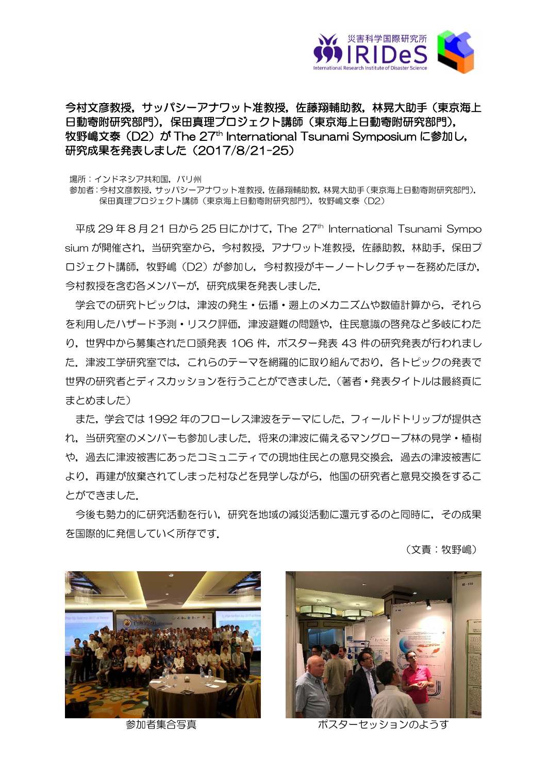

今村文彦教授,サッパシーアナワット准教授,佐藤翔輔助教,林晃大助手(東京海上 日動寄附研究部門), 保田真理プロジェクト講師(東京海上日動寄附研究部門), 牧野嶋文泰(D2)が The 27<sup>th</sup> International Tsunami Symposium に参加し, 研究成果を発表しました (2017/8/21-25)

場所:インドネシア共和国,バリ州

参加者:今村文彦教授,サッパシーアナワット准教授,佐藤翔輔助教,林晃大助手(東京海上日動寄附研究部門), 保田真理プロジェクト講師(東京海上日動寄附研究部門),牧野嶋文泰(D2)

平成 29年8月21日から 25 日にかけて, The 27<sup>th</sup> International Tsunami Sympo sium が開催され,当研究室から,今村教授,アナワット准教授,佐藤助教,林助手,保田プ ロジェクト講師,牧野嶋(D2)が参加し,今村教授がキーノートレクチャーを務めたほか, 今村教授を含む各メンバーが,研究成果を発表しました.

学会での研究トピックは,津波の発生・伝播・遡上のメカニズムや数値計算から,それら を利用したハザード予測・リスク評価,津波避難の問題や,住民意識の啓発など多岐にわた り,世界中から募集された口頭発表 106 件,ポスター発表 43 件の研究発表が行われまし た.津波工学研究室では,これらのテーマを網羅的に取り組んでおり,各トピックの発表で 世界の研究者とディスカッションを行うことができました.(著者・発表タイトルは最終頁に まとめました)

また,学会では 1992 年のフローレス津波をテーマにした,フィールドトリップが提供さ れ,当研究室のメンバーも参加しました.将来の津波に備えるマングローブ林の見学・植樹 や,過去に津波被害にあったコミュニティでの現地住民との意見交換会,過去の津波被害に より,再建が放棄されてしまった村などを見学しながら,他国の研究者と意見交換をするこ とができました.

今後も勢力的に研究活動を行い,研究を地域の減災活動に還元するのと同時に,その成果 を国際的に発信していく所存です.

(文責:牧野嶋)





参加者集合写真 さんじょう ポスターセッションのようす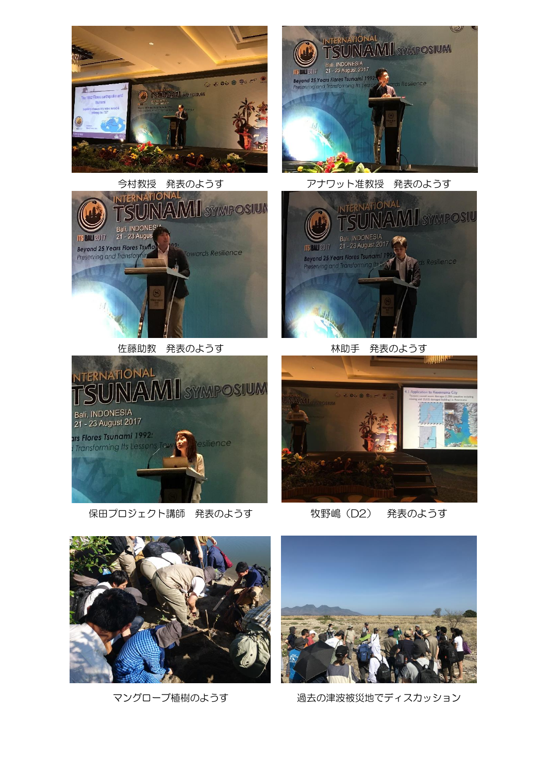





マングローブ植樹のようす アンターの過去の津波被災地でディスカッション